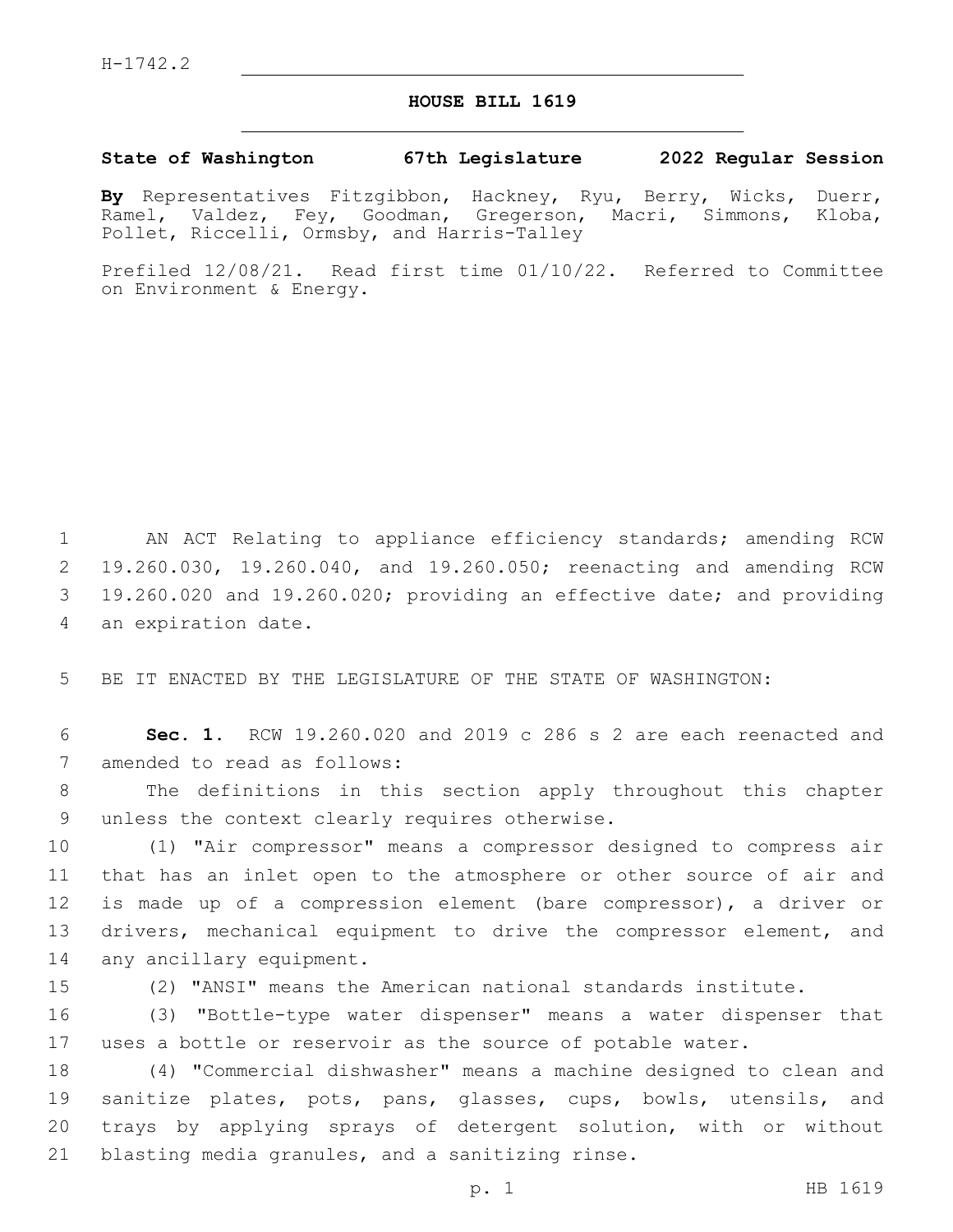## **HOUSE BILL 1619**

## **State of Washington 67th Legislature 2022 Regular Session**

**By** Representatives Fitzgibbon, Hackney, Ryu, Berry, Wicks, Duerr, Ramel, Valdez, Fey, Goodman, Gregerson, Macri, Simmons, Kloba, Pollet, Riccelli, Ormsby, and Harris-Talley

Prefiled 12/08/21. Read first time 01/10/22. Referred to Committee on Environment & Energy.

 AN ACT Relating to appliance efficiency standards; amending RCW 19.260.030, 19.260.040, and 19.260.050; reenacting and amending RCW 19.260.020 and 19.260.020; providing an effective date; and providing 4 an expiration date.

5 BE IT ENACTED BY THE LEGISLATURE OF THE STATE OF WASHINGTON:

6 **Sec. 1.** RCW 19.260.020 and 2019 c 286 s 2 are each reenacted and 7 amended to read as follows:

8 The definitions in this section apply throughout this chapter 9 unless the context clearly requires otherwise.

10 (1) "Air compressor" means a compressor designed to compress air 11 that has an inlet open to the atmosphere or other source of air and 12 is made up of a compression element (bare compressor), a driver or 13 drivers, mechanical equipment to drive the compressor element, and 14 any ancillary equipment.

15 (2) "ANSI" means the American national standards institute.

16 (3) "Bottle-type water dispenser" means a water dispenser that 17 uses a bottle or reservoir as the source of potable water.

 (4) "Commercial dishwasher" means a machine designed to clean and sanitize plates, pots, pans, glasses, cups, bowls, utensils, and trays by applying sprays of detergent solution, with or without 21 blasting media granules, and a sanitizing rinse.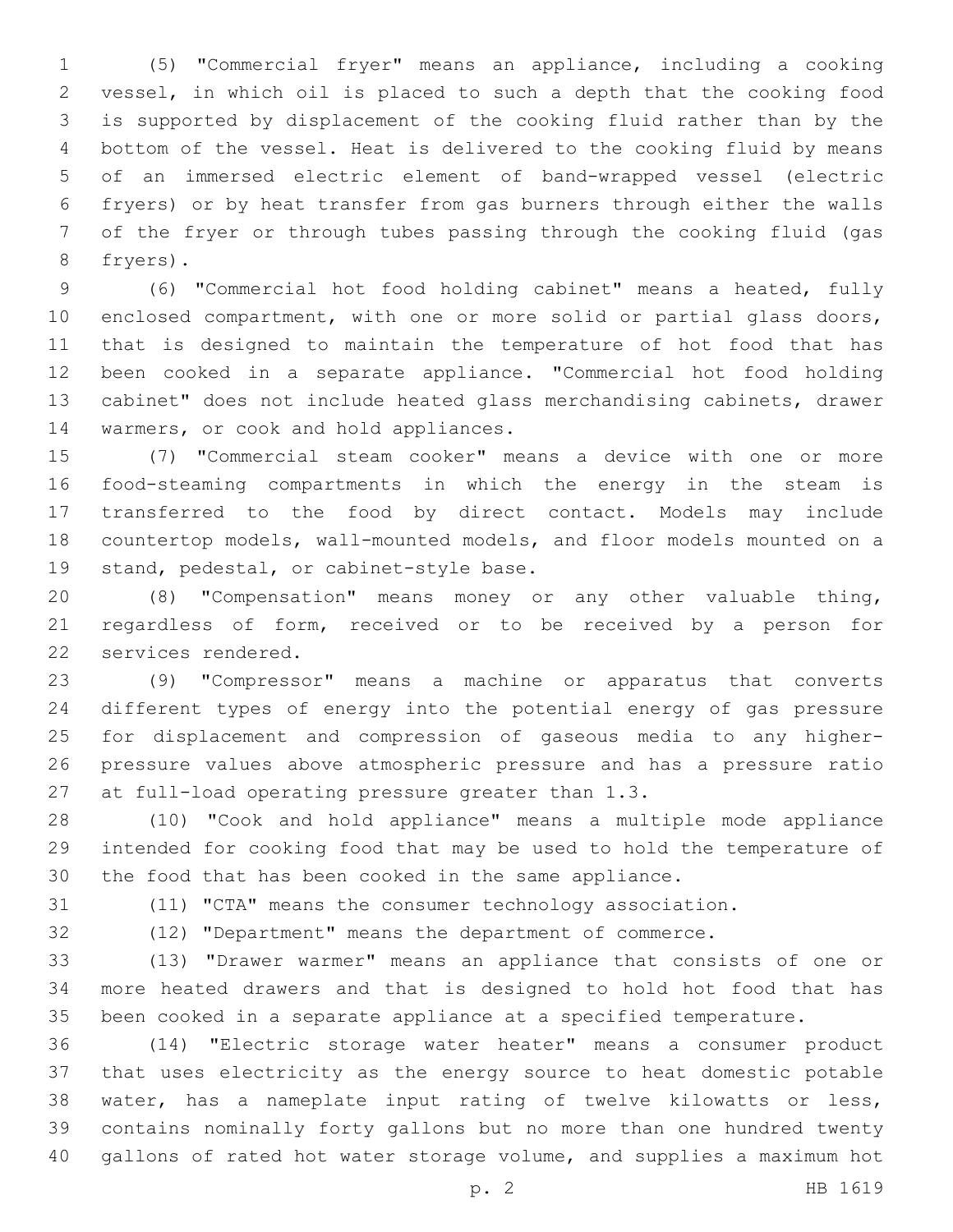(5) "Commercial fryer" means an appliance, including a cooking vessel, in which oil is placed to such a depth that the cooking food is supported by displacement of the cooking fluid rather than by the bottom of the vessel. Heat is delivered to the cooking fluid by means of an immersed electric element of band-wrapped vessel (electric fryers) or by heat transfer from gas burners through either the walls of the fryer or through tubes passing through the cooking fluid (gas 8 fryers).

 (6) "Commercial hot food holding cabinet" means a heated, fully enclosed compartment, with one or more solid or partial glass doors, that is designed to maintain the temperature of hot food that has been cooked in a separate appliance. "Commercial hot food holding cabinet" does not include heated glass merchandising cabinets, drawer 14 warmers, or cook and hold appliances.

 (7) "Commercial steam cooker" means a device with one or more food-steaming compartments in which the energy in the steam is transferred to the food by direct contact. Models may include countertop models, wall-mounted models, and floor models mounted on a 19 stand, pedestal, or cabinet-style base.

 (8) "Compensation" means money or any other valuable thing, regardless of form, received or to be received by a person for 22 services rendered.

 (9) "Compressor" means a machine or apparatus that converts different types of energy into the potential energy of gas pressure for displacement and compression of gaseous media to any higher- pressure values above atmospheric pressure and has a pressure ratio 27 at full-load operating pressure greater than 1.3.

 (10) "Cook and hold appliance" means a multiple mode appliance intended for cooking food that may be used to hold the temperature of the food that has been cooked in the same appliance.

(11) "CTA" means the consumer technology association.

(12) "Department" means the department of commerce.

(13) "Drawer warmer" means an appliance that consists of one or

 more heated drawers and that is designed to hold hot food that has been cooked in a separate appliance at a specified temperature. (14) "Electric storage water heater" means a consumer product

 that uses electricity as the energy source to heat domestic potable water, has a nameplate input rating of twelve kilowatts or less, contains nominally forty gallons but no more than one hundred twenty gallons of rated hot water storage volume, and supplies a maximum hot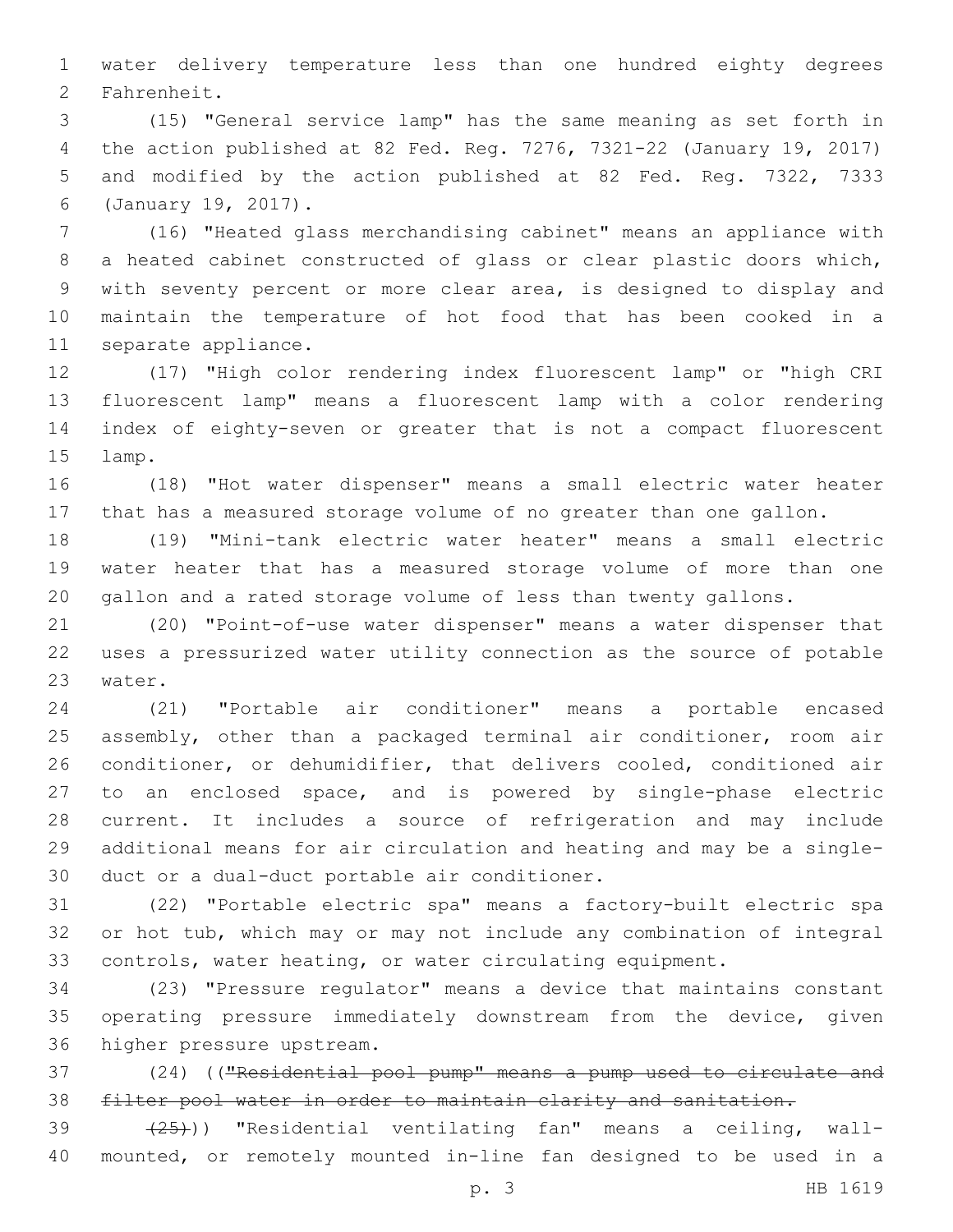water delivery temperature less than one hundred eighty degrees 2 Fahrenheit.

 (15) "General service lamp" has the same meaning as set forth in the action published at 82 Fed. Reg. 7276, 7321-22 (January 19, 2017) and modified by the action published at 82 Fed. Reg. 7322, 7333 (January 19, 2017).6

 (16) "Heated glass merchandising cabinet" means an appliance with a heated cabinet constructed of glass or clear plastic doors which, with seventy percent or more clear area, is designed to display and maintain the temperature of hot food that has been cooked in a 11 separate appliance.

 (17) "High color rendering index fluorescent lamp" or "high CRI fluorescent lamp" means a fluorescent lamp with a color rendering index of eighty-seven or greater that is not a compact fluorescent 15 lamp.

 (18) "Hot water dispenser" means a small electric water heater that has a measured storage volume of no greater than one gallon.

 (19) "Mini-tank electric water heater" means a small electric water heater that has a measured storage volume of more than one gallon and a rated storage volume of less than twenty gallons.

 (20) "Point-of-use water dispenser" means a water dispenser that uses a pressurized water utility connection as the source of potable 23 water.

 (21) "Portable air conditioner" means a portable encased assembly, other than a packaged terminal air conditioner, room air conditioner, or dehumidifier, that delivers cooled, conditioned air to an enclosed space, and is powered by single-phase electric current. It includes a source of refrigeration and may include additional means for air circulation and heating and may be a single-30 duct or a dual-duct portable air conditioner.

 (22) "Portable electric spa" means a factory-built electric spa or hot tub, which may or may not include any combination of integral controls, water heating, or water circulating equipment.

 (23) "Pressure regulator" means a device that maintains constant operating pressure immediately downstream from the device, given 36 higher pressure upstream.

 (24) (("Residential pool pump" means a pump used to circulate and filter pool water in order to maintain clarity and sanitation.

39 (25))) "Residential ventilating fan" means a ceiling, wall-mounted, or remotely mounted in-line fan designed to be used in a

p. 3 HB 1619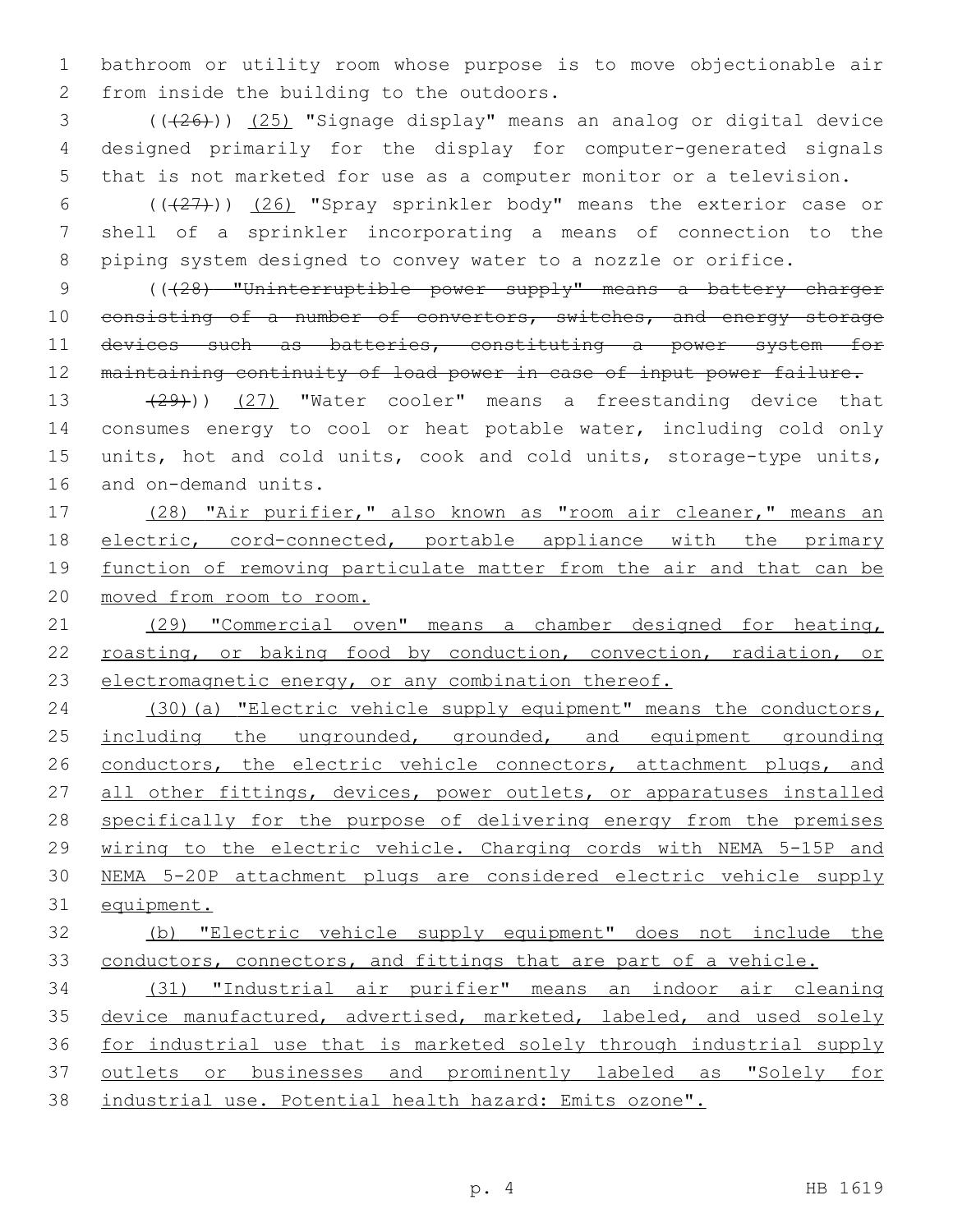bathroom or utility room whose purpose is to move objectionable air 2 from inside the building to the outdoors.

 ( $(\overline{+26})$ )  $(25)$  "Signage display" means an analog or digital device designed primarily for the display for computer-generated signals that is not marketed for use as a computer monitor or a television.

 (((27))) (26) "Spray sprinkler body" means the exterior case or shell of a sprinkler incorporating a means of connection to the piping system designed to convey water to a nozzle or orifice.

 (((28) "Uninterruptible power supply" means a battery charger 10 consisting of a number of convertors, switches, and energy storage 11 devices such as batteries, constituting a power system for maintaining continuity of load power in case of input power failure.

13 (29))) (27) "Water cooler" means a freestanding device that consumes energy to cool or heat potable water, including cold only units, hot and cold units, cook and cold units, storage-type units, 16 and on-demand units.

 (28) "Air purifier," also known as "room air cleaner," means an electric, cord-connected, portable appliance with the primary 19 function of removing particulate matter from the air and that can be moved from room to room.

 (29) "Commercial oven" means a chamber designed for heating, 22 roasting, or baking food by conduction, convection, radiation, or electromagnetic energy, or any combination thereof.

 (30)(a) "Electric vehicle supply equipment" means the conductors, 25 including the ungrounded, grounded, and equipment grounding 26 conductors, the electric vehicle connectors, attachment plugs, and 27 all other fittings, devices, power outlets, or apparatuses installed specifically for the purpose of delivering energy from the premises wiring to the electric vehicle. Charging cords with NEMA 5-15P and NEMA 5-20P attachment plugs are considered electric vehicle supply equipment.

## (b) "Electric vehicle supply equipment" does not include the 33 conductors, connectors, and fittings that are part of a vehicle.

 (31) "Industrial air purifier" means an indoor air cleaning 35 device manufactured, advertised, marketed, labeled, and used solely for industrial use that is marketed solely through industrial supply outlets or businesses and prominently labeled as "Solely for industrial use. Potential health hazard: Emits ozone".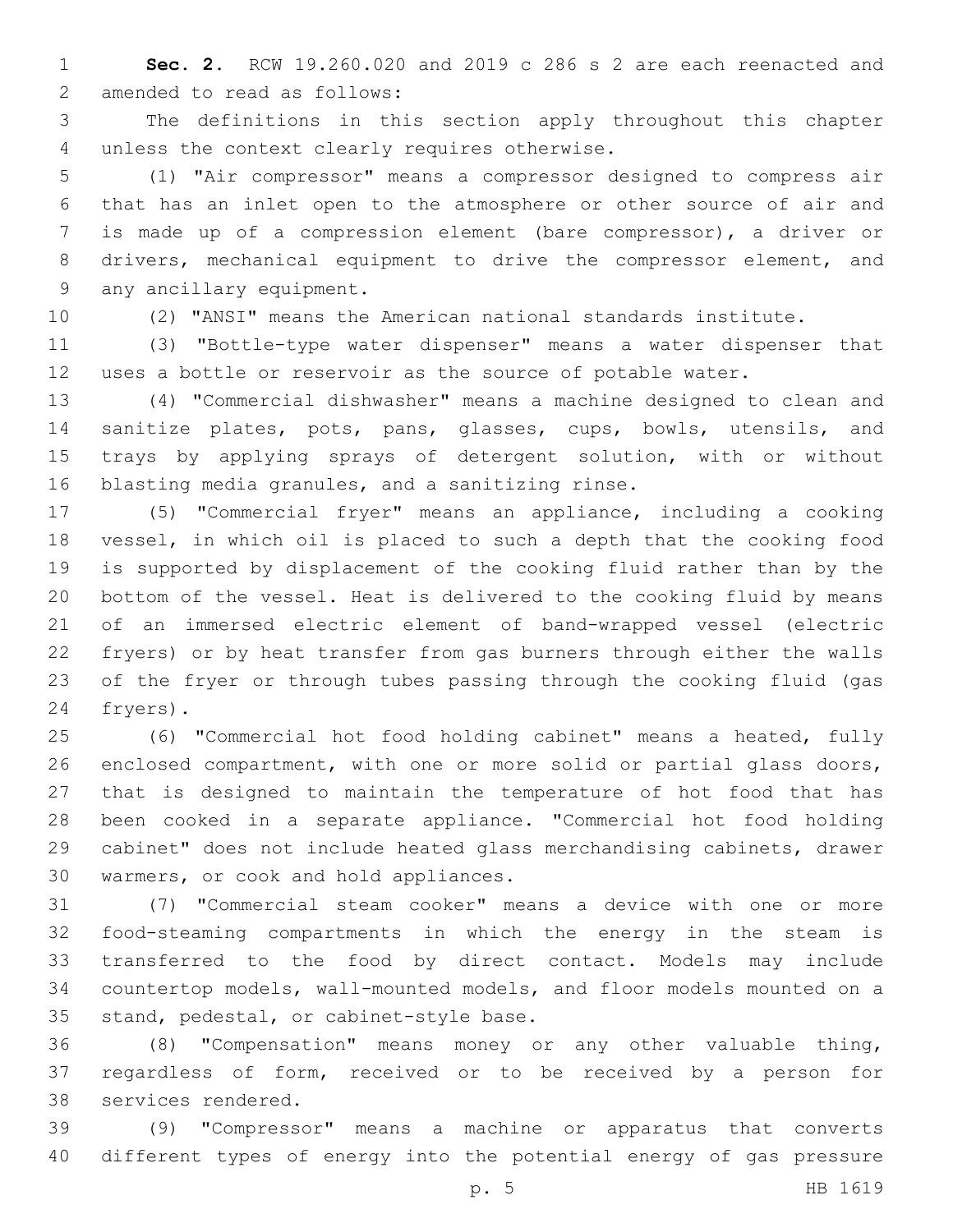**Sec. 2.** RCW 19.260.020 and 2019 c 286 s 2 are each reenacted and 2 amended to read as follows:

 The definitions in this section apply throughout this chapter 4 unless the context clearly requires otherwise.

 (1) "Air compressor" means a compressor designed to compress air that has an inlet open to the atmosphere or other source of air and is made up of a compression element (bare compressor), a driver or drivers, mechanical equipment to drive the compressor element, and 9 any ancillary equipment.

(2) "ANSI" means the American national standards institute.

 (3) "Bottle-type water dispenser" means a water dispenser that uses a bottle or reservoir as the source of potable water.

 (4) "Commercial dishwasher" means a machine designed to clean and sanitize plates, pots, pans, glasses, cups, bowls, utensils, and trays by applying sprays of detergent solution, with or without 16 blasting media granules, and a sanitizing rinse.

 (5) "Commercial fryer" means an appliance, including a cooking vessel, in which oil is placed to such a depth that the cooking food is supported by displacement of the cooking fluid rather than by the bottom of the vessel. Heat is delivered to the cooking fluid by means of an immersed electric element of band-wrapped vessel (electric fryers) or by heat transfer from gas burners through either the walls of the fryer or through tubes passing through the cooking fluid (gas 24 fryers).

 (6) "Commercial hot food holding cabinet" means a heated, fully enclosed compartment, with one or more solid or partial glass doors, that is designed to maintain the temperature of hot food that has been cooked in a separate appliance. "Commercial hot food holding cabinet" does not include heated glass merchandising cabinets, drawer 30 warmers, or cook and hold appliances.

 (7) "Commercial steam cooker" means a device with one or more food-steaming compartments in which the energy in the steam is transferred to the food by direct contact. Models may include countertop models, wall-mounted models, and floor models mounted on a 35 stand, pedestal, or cabinet-style base.

 (8) "Compensation" means money or any other valuable thing, regardless of form, received or to be received by a person for 38 services rendered.

 (9) "Compressor" means a machine or apparatus that converts different types of energy into the potential energy of gas pressure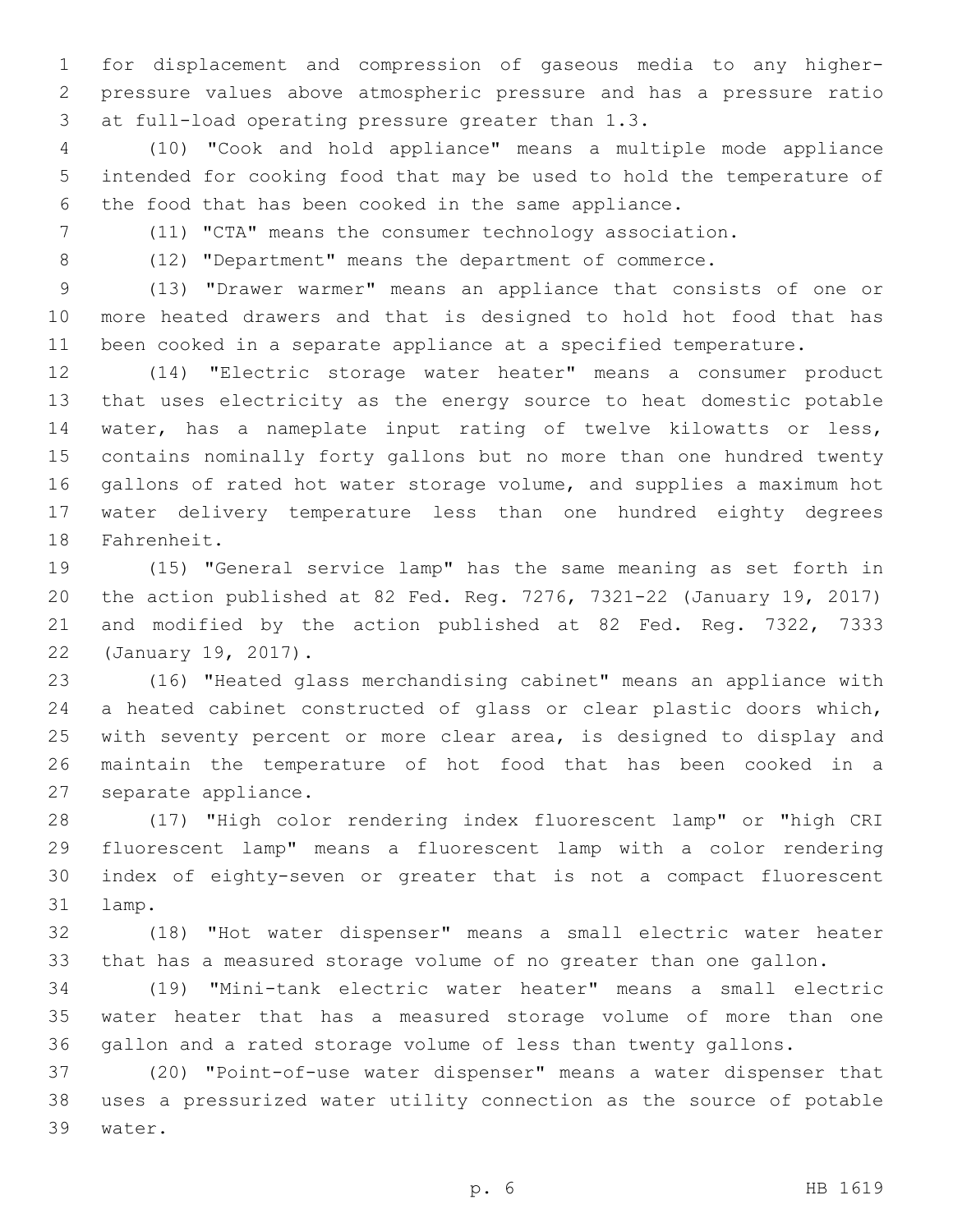for displacement and compression of gaseous media to any higher- pressure values above atmospheric pressure and has a pressure ratio 3 at full-load operating pressure greater than 1.3.

 (10) "Cook and hold appliance" means a multiple mode appliance intended for cooking food that may be used to hold the temperature of the food that has been cooked in the same appliance.

(11) "CTA" means the consumer technology association.

(12) "Department" means the department of commerce.

 (13) "Drawer warmer" means an appliance that consists of one or more heated drawers and that is designed to hold hot food that has been cooked in a separate appliance at a specified temperature.

 (14) "Electric storage water heater" means a consumer product that uses electricity as the energy source to heat domestic potable water, has a nameplate input rating of twelve kilowatts or less, contains nominally forty gallons but no more than one hundred twenty gallons of rated hot water storage volume, and supplies a maximum hot water delivery temperature less than one hundred eighty degrees 18 Fahrenheit.

 (15) "General service lamp" has the same meaning as set forth in the action published at 82 Fed. Reg. 7276, 7321-22 (January 19, 2017) and modified by the action published at 82 Fed. Reg. 7322, 7333 22 (January 19, 2017).

 (16) "Heated glass merchandising cabinet" means an appliance with a heated cabinet constructed of glass or clear plastic doors which, with seventy percent or more clear area, is designed to display and maintain the temperature of hot food that has been cooked in a 27 separate appliance.

 (17) "High color rendering index fluorescent lamp" or "high CRI fluorescent lamp" means a fluorescent lamp with a color rendering index of eighty-seven or greater that is not a compact fluorescent 31 lamp.

 (18) "Hot water dispenser" means a small electric water heater that has a measured storage volume of no greater than one gallon.

 (19) "Mini-tank electric water heater" means a small electric water heater that has a measured storage volume of more than one gallon and a rated storage volume of less than twenty gallons.

 (20) "Point-of-use water dispenser" means a water dispenser that uses a pressurized water utility connection as the source of potable 39 water.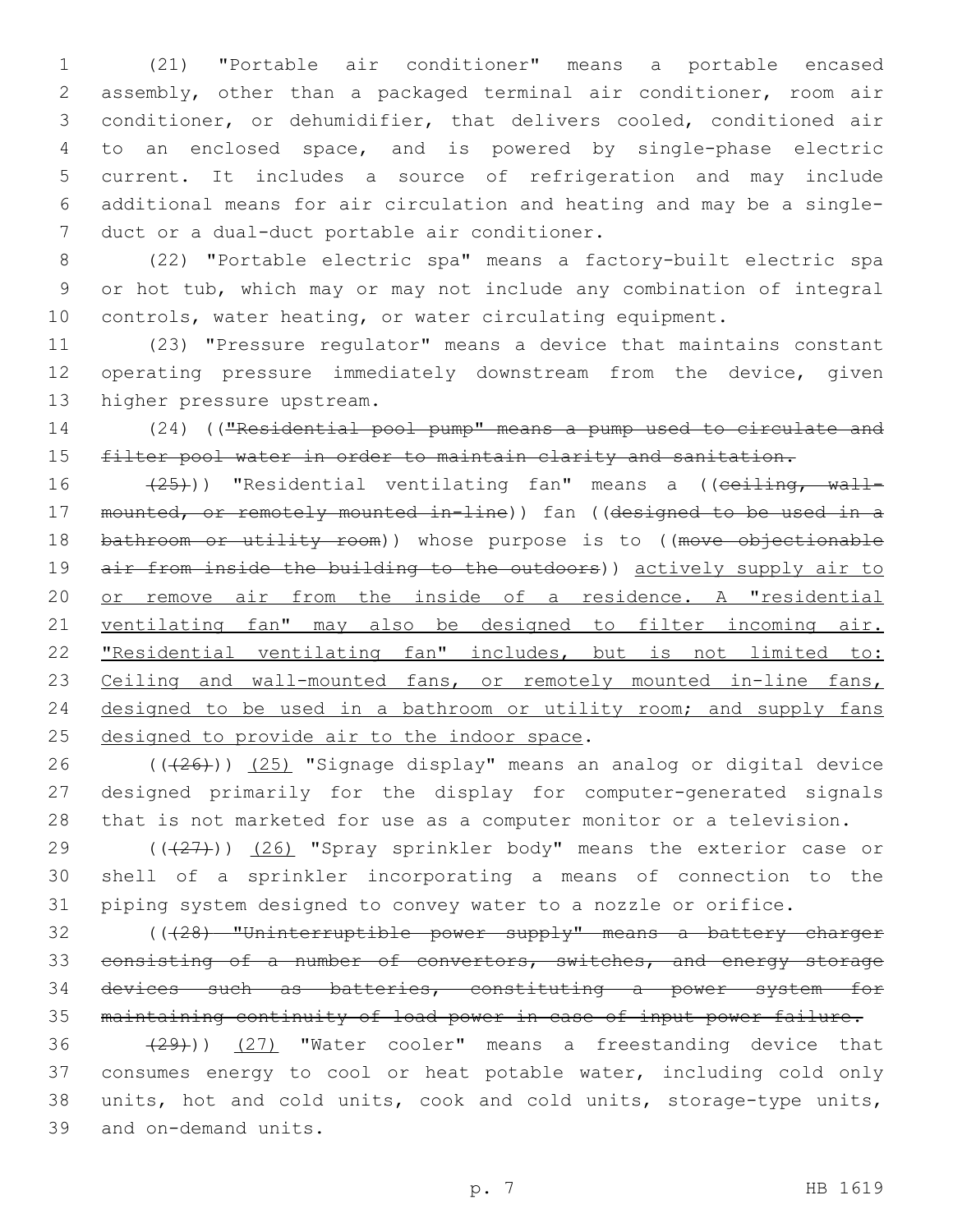(21) "Portable air conditioner" means a portable encased assembly, other than a packaged terminal air conditioner, room air conditioner, or dehumidifier, that delivers cooled, conditioned air to an enclosed space, and is powered by single-phase electric current. It includes a source of refrigeration and may include additional means for air circulation and heating and may be a single-7 duct or a dual-duct portable air conditioner.

 (22) "Portable electric spa" means a factory-built electric spa or hot tub, which may or may not include any combination of integral controls, water heating, or water circulating equipment.

 (23) "Pressure regulator" means a device that maintains constant operating pressure immediately downstream from the device, given 13 higher pressure upstream.

 (24) (("Residential pool pump" means a pump used to circulate and 15 filter pool water in order to maintain clarity and sanitation.

16 (25))) "Residential ventilating fan" means a ((ceiling, wall- mounted, or remotely mounted in-line)) fan ((designed to be used in a 18 bathroom or utility room)) whose purpose is to ((move objectionable 19 air from inside the building to the outdoors)) actively supply air to or remove air from the inside of a residence. A "residential ventilating fan" may also be designed to filter incoming air. "Residential ventilating fan" includes, but is not limited to: 23 Ceiling and wall-mounted fans, or remotely mounted in-line fans, 24 designed to be used in a bathroom or utility room; and supply fans 25 designed to provide air to the indoor space.

 ( $(\overline{26})$ ) (25) "Signage display" means an analog or digital device designed primarily for the display for computer-generated signals that is not marketed for use as a computer monitor or a television.

29  $((+27))$   $(26)$  "Spray sprinkler body" means the exterior case or shell of a sprinkler incorporating a means of connection to the piping system designed to convey water to a nozzle or orifice.

 (((28) "Uninterruptible power supply" means a battery charger 33 consisting of a number of convertors, switches, and energy storage devices such as batteries, constituting a power system for maintaining continuity of load power in case of input power failure.

 $(29)$ ) (27) "Water cooler" means a freestanding device that consumes energy to cool or heat potable water, including cold only units, hot and cold units, cook and cold units, storage-type units, 39 and on-demand units.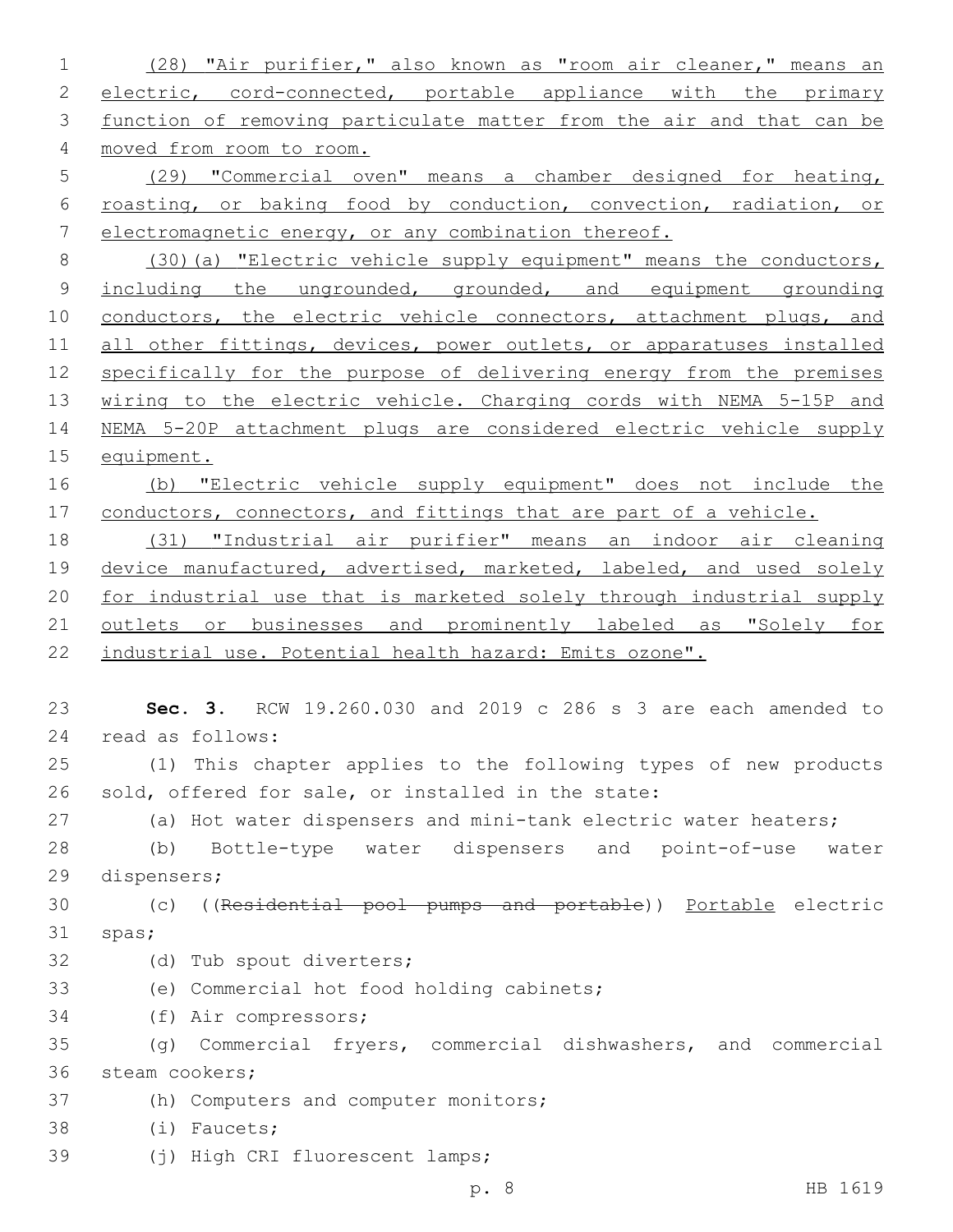1 (28) "Air purifier," also known as "room air cleaner," means an 2 electric, cord-connected, portable appliance with the primary 3 function of removing particulate matter from the air and that can be 4 moved from room to room. 5 (29) "Commercial oven" means a chamber designed for heating, 6 roasting, or baking food by conduction, convection, radiation, or 7 electromagnetic energy, or any combination thereof. 8 (30)(a) "Electric vehicle supply equipment" means the conductors, 9 including the ungrounded, grounded, and equipment grounding 10 conductors, the electric vehicle connectors, attachment plugs, and 11 all other fittings, devices, power outlets, or apparatuses installed 12 specifically for the purpose of delivering energy from the premises 13 wiring to the electric vehicle. Charging cords with NEMA 5-15P and 14 NEMA 5-20P attachment plugs are considered electric vehicle supply 15 equipment. 16 (b) "Electric vehicle supply equipment" does not include the 17 conductors, connectors, and fittings that are part of a vehicle. 18 (31) "Industrial air purifier" means an indoor air cleaning 19 device manufactured, advertised, marketed, labeled, and used solely 20 for industrial use that is marketed solely through industrial supply 21 outlets or businesses and prominently labeled as "Solely for 22 industrial use. Potential health hazard: Emits ozone". 23 **Sec. 3.** RCW 19.260.030 and 2019 c 286 s 3 are each amended to 24 read as follows: 25 (1) This chapter applies to the following types of new products 26 sold, offered for sale, or installed in the state: 27 (a) Hot water dispensers and mini-tank electric water heaters; 28 (b) Bottle-type water dispensers and point-of-use water 29 dispensers; 30 (c) ((Residential pool pumps and portable)) Portable electric 31 spas; 32 (d) Tub spout diverters; 33 (e) Commercial hot food holding cabinets; 34 (f) Air compressors; 35 (g) Commercial fryers, commercial dishwashers, and commercial 36 steam cookers; 37 (h) Computers and computer monitors; 38 (i) Faucets; 39 (i) High CRI fluorescent lamps; p. 8 HB 1619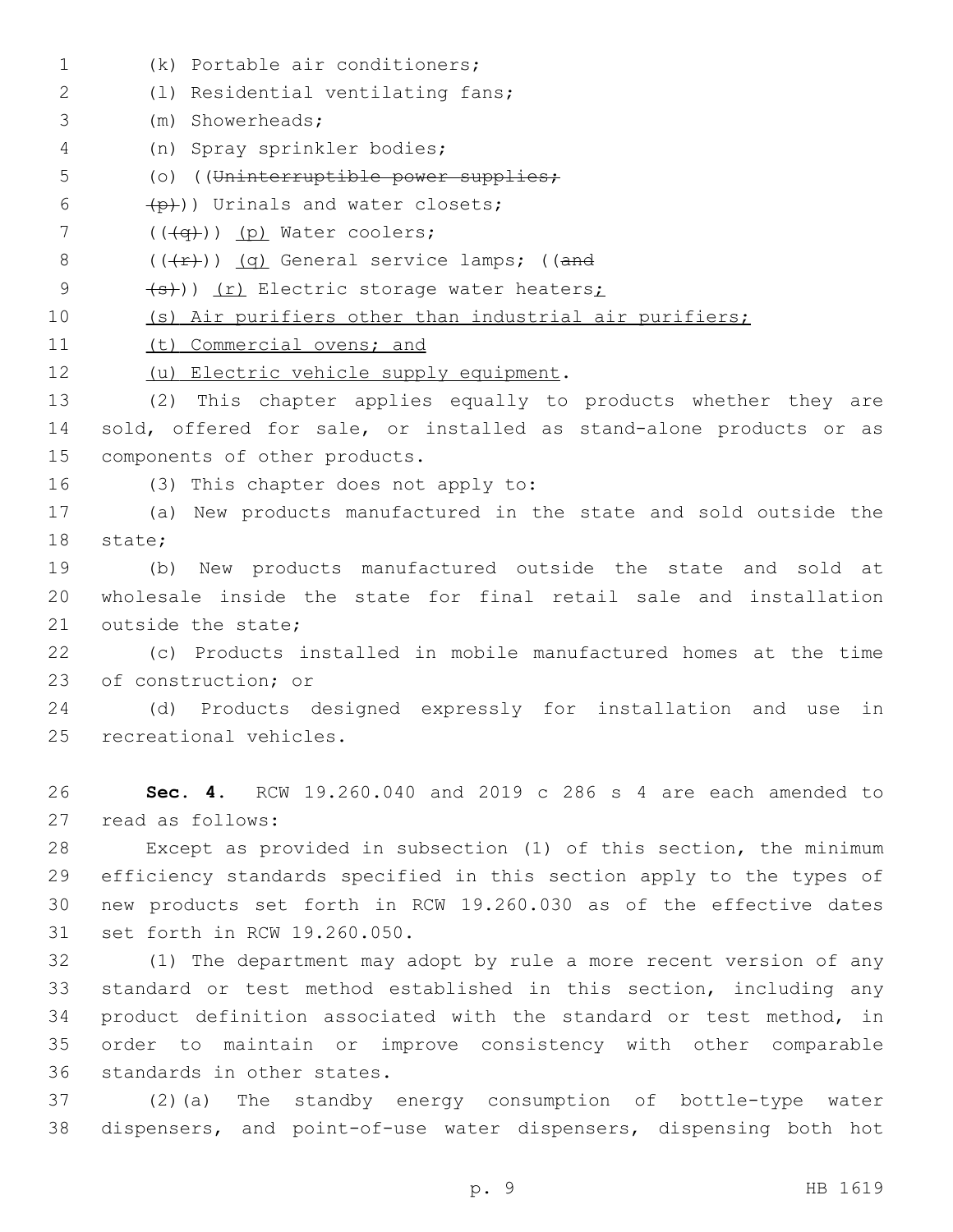(k) Portable air conditioners;1 (l) Residential ventilating fans;2 (m) Showerheads;3 (n) Spray sprinkler bodies;4 5 (o) ((Uninterruptible power supplies;  $(p+1)$ ) Urinals and water closets;  $($   $((\neg \rightarrow))$   $(p)$  Water coolers; 8  $((+r))$  (q) General service lamps; ((and 9 (s)) (r) Electric storage water heaters; 10 (s) Air purifiers other than industrial air purifiers; 11 (t) Commercial ovens; and 12 (u) Electric vehicle supply equipment. 13 (2) This chapter applies equally to products whether they are 14 sold, offered for sale, or installed as stand-alone products or as 15 components of other products. 16 (3) This chapter does not apply to: 17 (a) New products manufactured in the state and sold outside the 18 state; 19 (b) New products manufactured outside the state and sold at 20 wholesale inside the state for final retail sale and installation 21 outside the state; 22 (c) Products installed in mobile manufactured homes at the time 23 of construction; or 24 (d) Products designed expressly for installation and use in 25 recreational vehicles. 26 **Sec. 4.** RCW 19.260.040 and 2019 c 286 s 4 are each amended to 27 read as follows: 28 Except as provided in subsection (1) of this section, the minimum 29 efficiency standards specified in this section apply to the types of 30 new products set forth in RCW 19.260.030 as of the effective dates 31 set forth in RCW 19.260.050. 32 (1) The department may adopt by rule a more recent version of any 33 standard or test method established in this section, including any 34 product definition associated with the standard or test method, in 35 order to maintain or improve consistency with other comparable 36 standards in other states. 37 (2)(a) The standby energy consumption of bottle-type water 38 dispensers, and point-of-use water dispensers, dispensing both hot

p. 9 HB 1619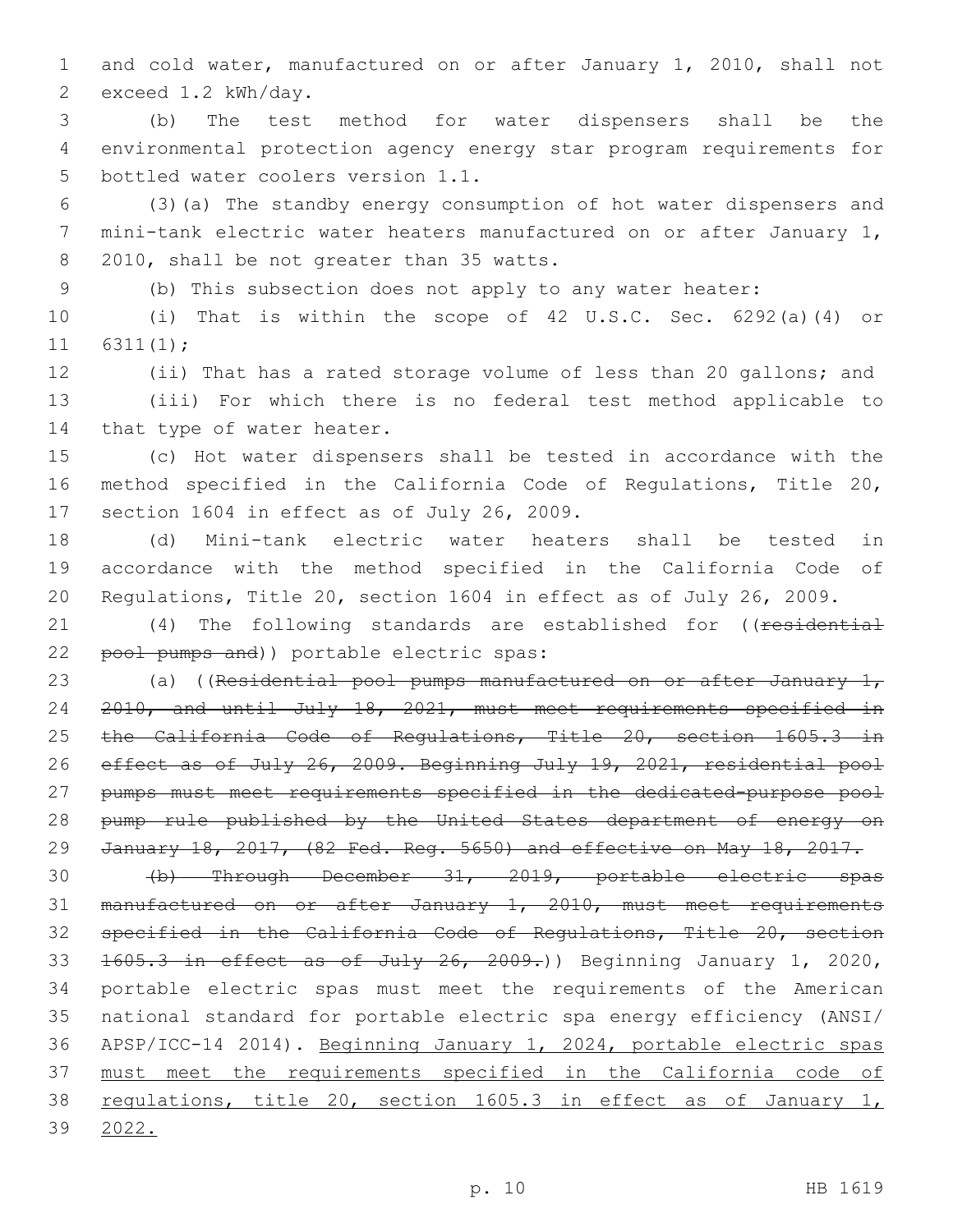and cold water, manufactured on or after January 1, 2010, shall not 2 exceed 1.2 kWh/day.

 (b) The test method for water dispensers shall be the environmental protection agency energy star program requirements for 5 bottled water coolers version 1.1.

 (3)(a) The standby energy consumption of hot water dispensers and mini-tank electric water heaters manufactured on or after January 1, 8 2010, shall be not greater than 35 watts.

(b) This subsection does not apply to any water heater:

 (i) That is within the scope of 42 U.S.C. Sec. 6292(a)(4) or 6311(1);

 (ii) That has a rated storage volume of less than 20 gallons; and (iii) For which there is no federal test method applicable to 14 that type of water heater.

 (c) Hot water dispensers shall be tested in accordance with the method specified in the California Code of Regulations, Title 20, 17 section 1604 in effect as of July 26, 2009.

 (d) Mini-tank electric water heaters shall be tested in accordance with the method specified in the California Code of Regulations, Title 20, section 1604 in effect as of July 26, 2009.

21 (4) The following standards are established for ((residential 22 pool pumps and)) portable electric spas:

23 (a) ((Residential pool pumps manufactured on or after January  $1<sub>r</sub>$  2010, and until July 18, 2021, must meet requirements specified in 25 the California Code of Regulations, Title 20, section 1605.3 in effect as of July 26, 2009. Beginning July 19, 2021, residential pool pumps must meet requirements specified in the dedicated-purpose pool 28 pump rule published by the United States department of energy on January 18, 2017, (82 Fed. Reg. 5650) and effective on May 18, 2017.

 (b) Through December 31, 2019, portable electric spas manufactured on or after January 1, 2010, must meet requirements specified in the California Code of Regulations, Title 20, section 33 1605.3 in effect as of July 26, 2009.) Beginning January 1, 2020, portable electric spas must meet the requirements of the American national standard for portable electric spa energy efficiency (ANSI/ APSP/ICC-14 2014). Beginning January 1, 2024, portable electric spas must meet the requirements specified in the California code of 38 regulations, title 20, section 1605.3 in effect as of January 1, 2022.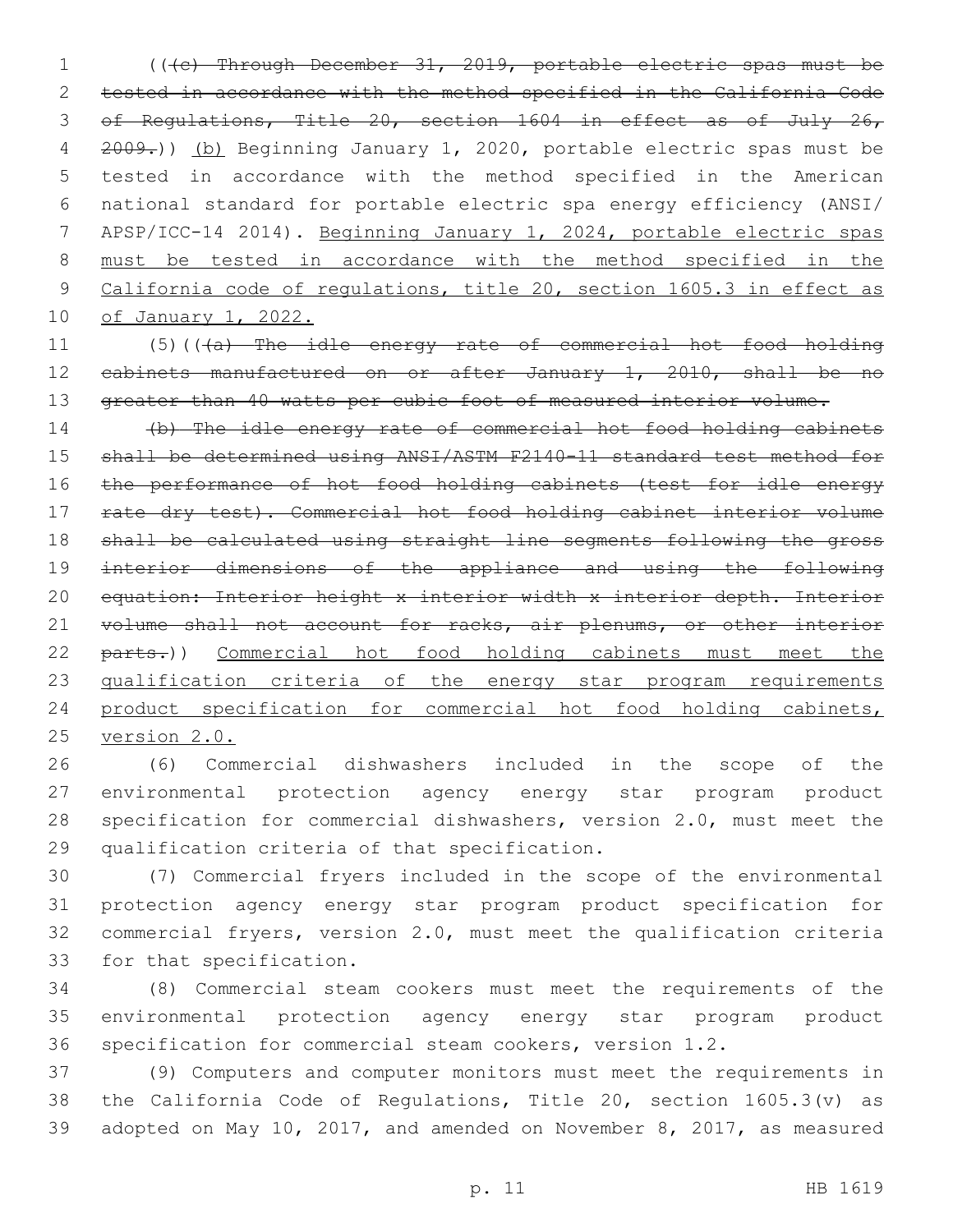(((c) Through December 31, 2019, portable electric spas must be tested in accordance with the method specified in the California Code of Regulations, Title 20, section 1604 in effect as of July 26, 2009.)) (b) Beginning January 1, 2020, portable electric spas must be tested in accordance with the method specified in the American national standard for portable electric spa energy efficiency (ANSI/ APSP/ICC-14 2014). Beginning January 1, 2024, portable electric spas must be tested in accordance with the method specified in the California code of regulations, title 20, section 1605.3 in effect as of January 1, 2022.

11 (5)(((a) The idle energy rate of commercial hot food holding cabinets manufactured on or after January 1, 2010, shall be no 13 greater than 40 watts per cubic foot of measured interior volume.

 (b) The idle energy rate of commercial hot food holding cabinets shall be determined using ANSI/ASTM F2140-11 standard test method for the performance of hot food holding cabinets (test for idle energy rate dry test). Commercial hot food holding cabinet interior volume shall be calculated using straight line segments following the gross 19 interior dimensions of the appliance and using the following equation: Interior height x interior width x interior depth. Interior 21 volume shall not account for racks, air plenums, or other interior 22 parts.)) Commercial hot food holding cabinets must meet the 23 qualification criteria of the energy star program requirements product specification for commercial hot food holding cabinets, version 2.0.

 (6) Commercial dishwashers included in the scope of the environmental protection agency energy star program product specification for commercial dishwashers, version 2.0, must meet the 29 qualification criteria of that specification.

 (7) Commercial fryers included in the scope of the environmental protection agency energy star program product specification for commercial fryers, version 2.0, must meet the qualification criteria 33 for that specification.

 (8) Commercial steam cookers must meet the requirements of the environmental protection agency energy star program product specification for commercial steam cookers, version 1.2.

 (9) Computers and computer monitors must meet the requirements in the California Code of Regulations, Title 20, section 1605.3(v) as adopted on May 10, 2017, and amended on November 8, 2017, as measured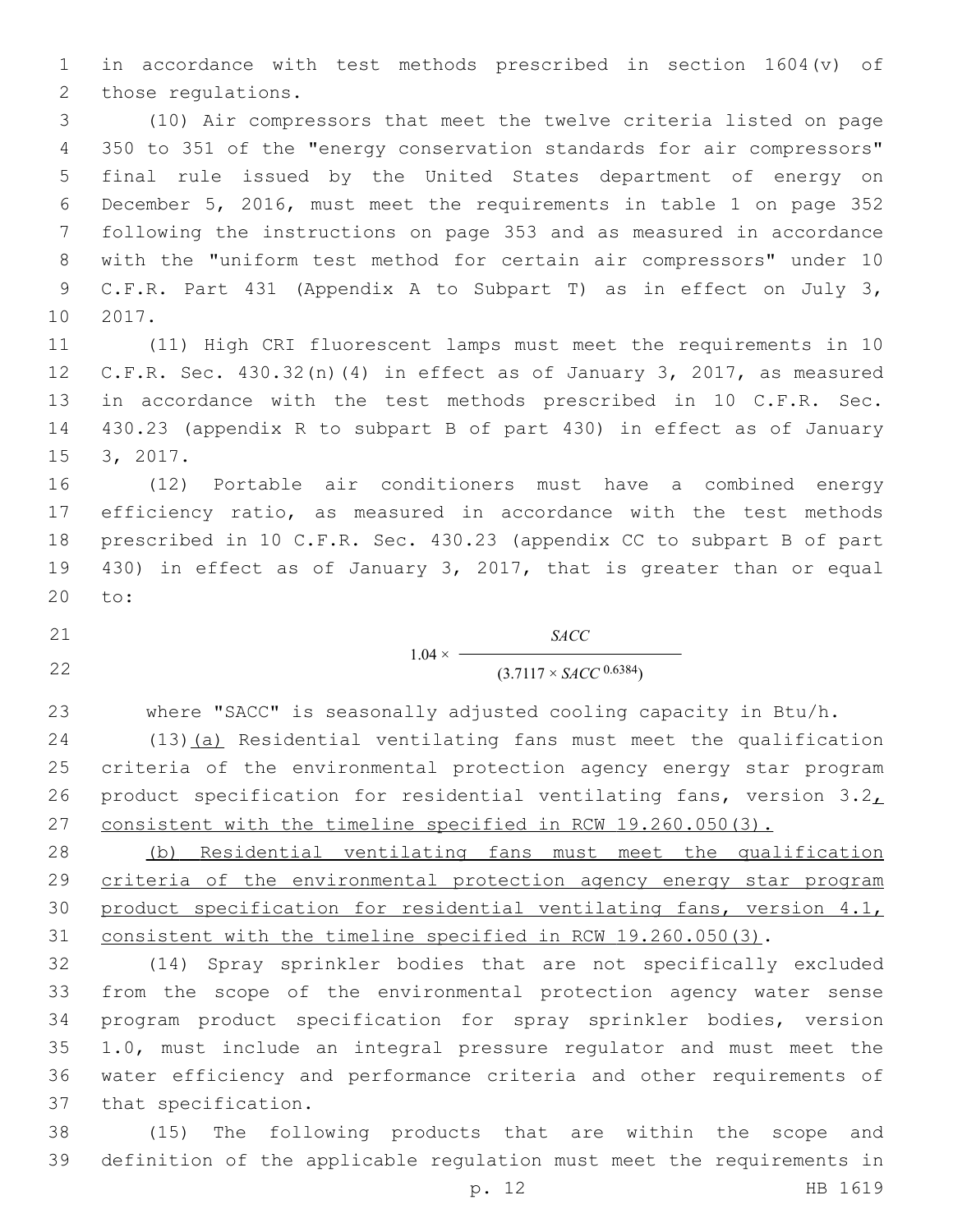in accordance with test methods prescribed in section 1604(v) of 2 those regulations.

 (10) Air compressors that meet the twelve criteria listed on page 350 to 351 of the "energy conservation standards for air compressors" final rule issued by the United States department of energy on December 5, 2016, must meet the requirements in table 1 on page 352 following the instructions on page 353 and as measured in accordance with the "uniform test method for certain air compressors" under 10 C.F.R. Part 431 (Appendix A to Subpart T) as in effect on July 3, 10 2017.

 (11) High CRI fluorescent lamps must meet the requirements in 10 C.F.R. Sec. 430.32(n)(4) in effect as of January 3, 2017, as measured in accordance with the test methods prescribed in 10 C.F.R. Sec. 430.23 (appendix R to subpart B of part 430) in effect as of January 15 3, 2017.

 (12) Portable air conditioners must have a combined energy efficiency ratio, as measured in accordance with the test methods prescribed in 10 C.F.R. Sec. 430.23 (appendix CC to subpart B of part 430) in effect as of January 3, 2017, that is greater than or equal 20 to:

 $1.04 \times$ *SACC* 22 (3.7117 × *SACC* <sup>0.6384</sup>)

where "SACC" is seasonally adjusted cooling capacity in Btu/h.

 (13)(a) Residential ventilating fans must meet the qualification criteria of the environmental protection agency energy star program 26 product specification for residential ventilating fans, version  $3.2<sub>L</sub>$ consistent with the timeline specified in RCW 19.260.050(3).

 (b) Residential ventilating fans must meet the qualification criteria of the environmental protection agency energy star program product specification for residential ventilating fans, version 4.1, consistent with the timeline specified in RCW 19.260.050(3).

 (14) Spray sprinkler bodies that are not specifically excluded from the scope of the environmental protection agency water sense program product specification for spray sprinkler bodies, version 1.0, must include an integral pressure regulator and must meet the water efficiency and performance criteria and other requirements of 37 that specification.

 (15) The following products that are within the scope and definition of the applicable regulation must meet the requirements in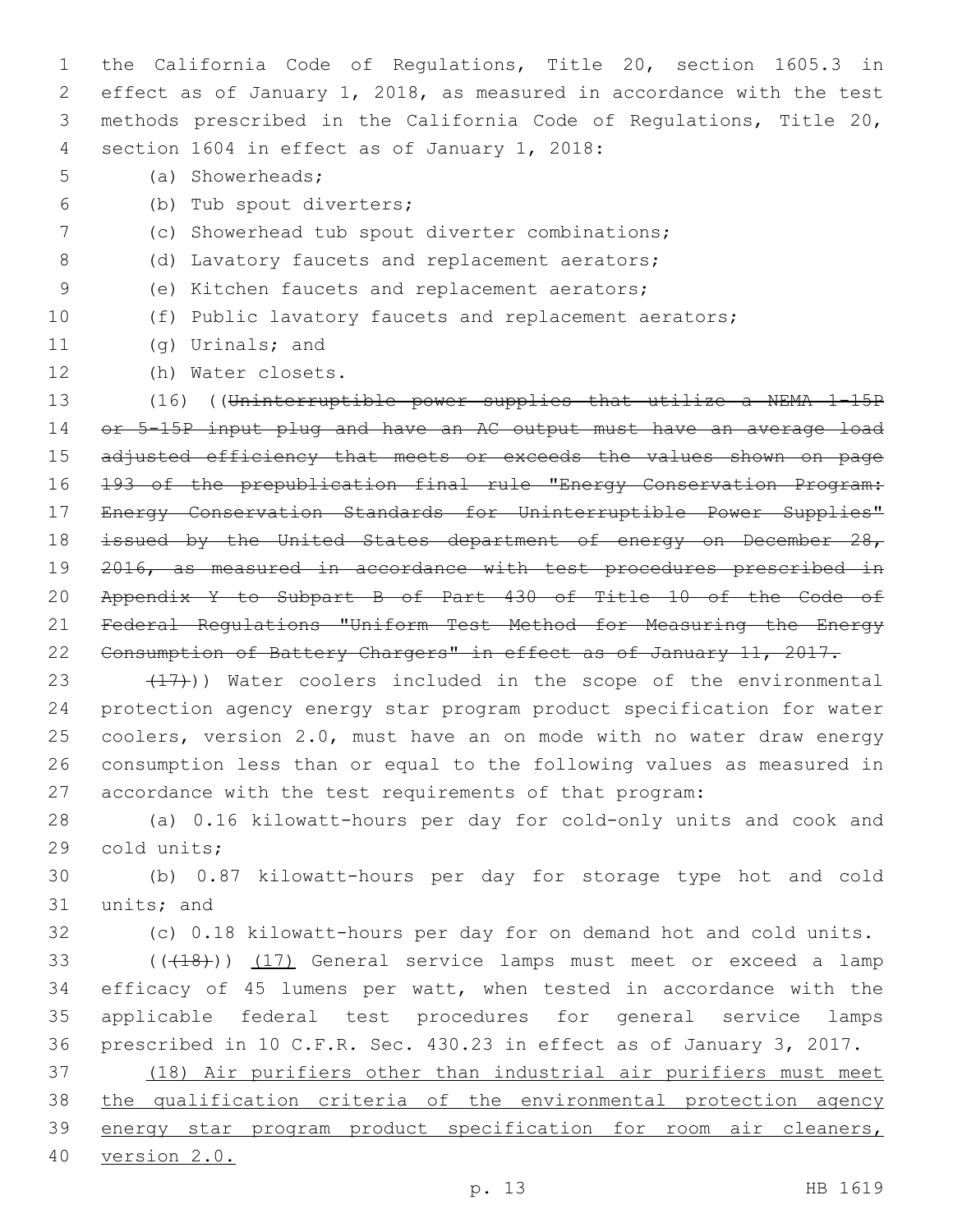the California Code of Regulations, Title 20, section 1605.3 in effect as of January 1, 2018, as measured in accordance with the test methods prescribed in the California Code of Regulations, Title 20, 4 section 1604 in effect as of January 1, 2018:

- 5 (a) Showerheads;
- (b) Tub spout diverters;6
- 7 (c) Showerhead tub spout diverter combinations;
- 8 (d) Lavatory faucets and replacement aerators;
- 9 (e) Kitchen faucets and replacement aerators;
- 

## 10 (f) Public lavatory faucets and replacement aerators;

- 11 (g) Urinals; and
- 12 (h) Water closets.

13 (16) ((Uninterruptible power supplies that utilize a NEMA 1-15P 14 or 5-15P input plug and have an AC output must have an average load 15 adjusted efficiency that meets or exceeds the values shown on page 16 193 of the prepublication final rule "Energy Conservation Program: 17 Energy Conservation Standards for Uninterruptible Power Supplies" 18 issued by the United States department of energy on December 28, 19 2016, as measured in accordance with test procedures prescribed in 20 Appendix Y to Subpart B of Part 430 of Title 10 of the Code of 21 Federal Regulations "Uniform Test Method for Measuring the Energy 22 Consumption of Battery Chargers" in effect as of January 11, 2017.

 $(17)$ )) Water coolers included in the scope of the environmental protection agency energy star program product specification for water coolers, version 2.0, must have an on mode with no water draw energy consumption less than or equal to the following values as measured in accordance with the test requirements of that program:

28 (a) 0.16 kilowatt-hours per day for cold-only units and cook and 29 cold units;

30 (b) 0.87 kilowatt-hours per day for storage type hot and cold 31 units; and

32 (c) 0.18 kilowatt-hours per day for on demand hot and cold units.

33 (((418))) (17) General service lamps must meet or exceed a lamp efficacy of 45 lumens per watt, when tested in accordance with the applicable federal test procedures for general service lamps prescribed in 10 C.F.R. Sec. 430.23 in effect as of January 3, 2017.

 (18) Air purifiers other than industrial air purifiers must meet the qualification criteria of the environmental protection agency 39 energy star program product specification for room air cleaners, version 2.0.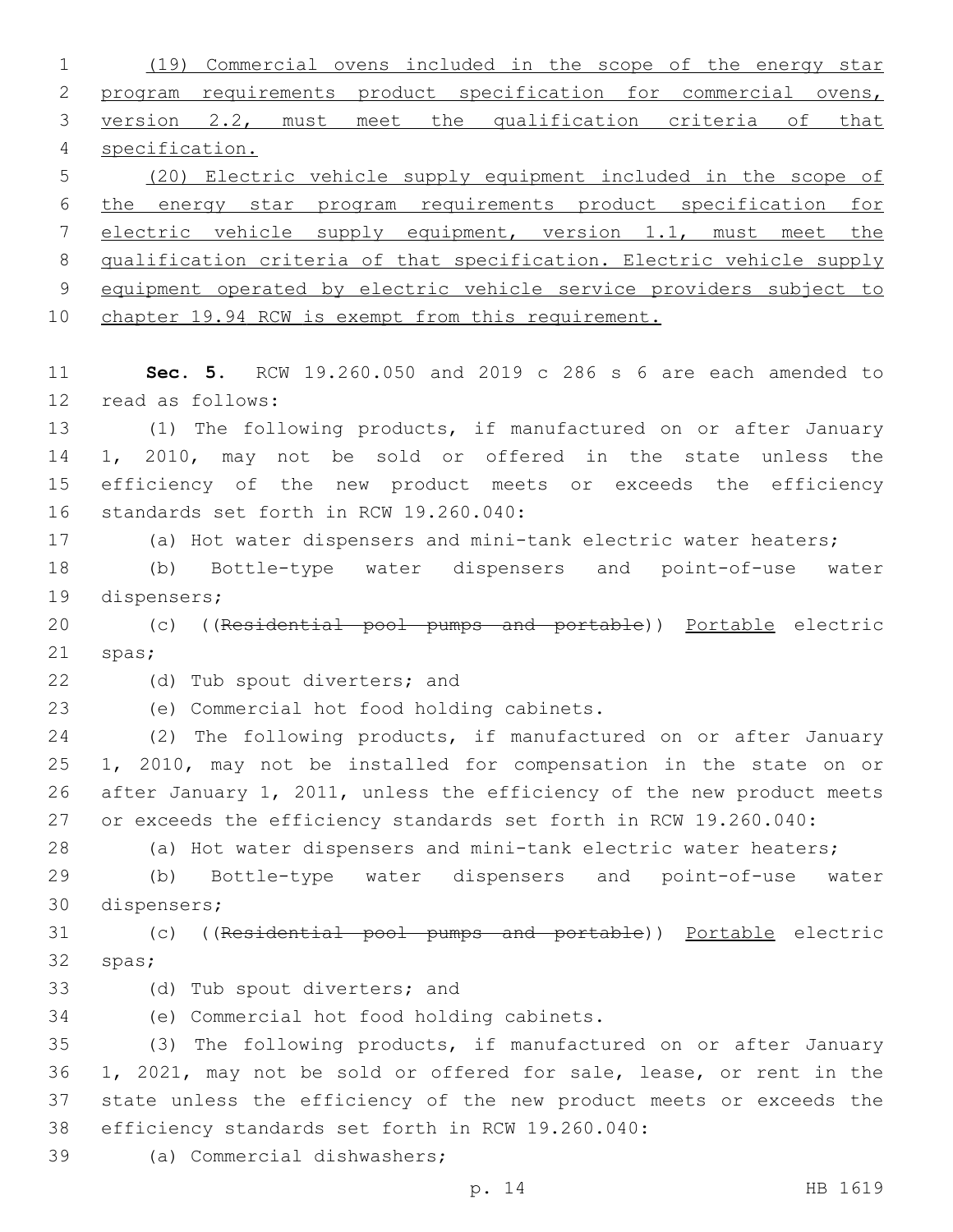(19) Commercial ovens included in the scope of the energy star program requirements product specification for commercial ovens, version 2.2, must meet the qualification criteria of that specification. (20) Electric vehicle supply equipment included in the scope of the energy star program requirements product specification for electric vehicle supply equipment, version 1.1, must meet the qualification criteria of that specification. Electric vehicle supply equipment operated by electric vehicle service providers subject to 10 chapter 19.94 RCW is exempt from this requirement. **Sec. 5.** RCW 19.260.050 and 2019 c 286 s 6 are each amended to 12 read as follows: (1) The following products, if manufactured on or after January 1, 2010, may not be sold or offered in the state unless the efficiency of the new product meets or exceeds the efficiency 16 standards set forth in RCW 19.260.040: (a) Hot water dispensers and mini-tank electric water heaters; (b) Bottle-type water dispensers and point-of-use water 19 dispensers; 20 (c) ((Residential pool pumps and portable)) Portable electric 21 spas; 22 (d) Tub spout diverters; and 23 (e) Commercial hot food holding cabinets. (2) The following products, if manufactured on or after January 1, 2010, may not be installed for compensation in the state on or after January 1, 2011, unless the efficiency of the new product meets or exceeds the efficiency standards set forth in RCW 19.260.040: (a) Hot water dispensers and mini-tank electric water heaters; (b) Bottle-type water dispensers and point-of-use water 30 dispensers; (c) ((Residential pool pumps and portable)) Portable electric 32 spas; 33 (d) Tub spout diverters; and (e) Commercial hot food holding cabinets.34 (3) The following products, if manufactured on or after January 1, 2021, may not be sold or offered for sale, lease, or rent in the state unless the efficiency of the new product meets or exceeds the 38 efficiency standards set forth in RCW 19.260.040: 39 (a) Commercial dishwashers;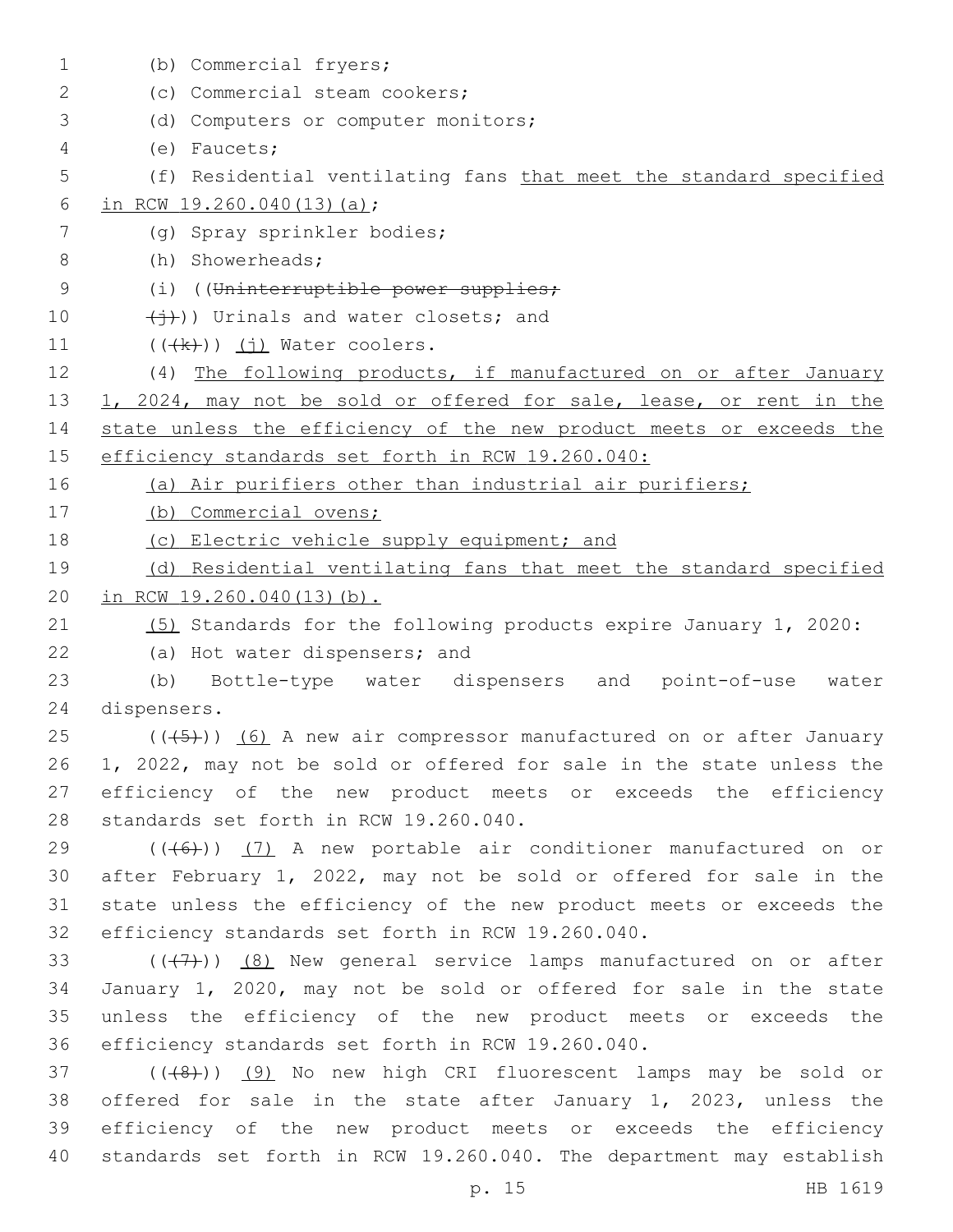| $\mathbf 1$ | (b) Commercial fryers;                                               |
|-------------|----------------------------------------------------------------------|
| 2           | (c) Commercial steam cookers;                                        |
| 3           | (d) Computers or computer monitors;                                  |
| 4           | (e) Faucets;                                                         |
| 5           | (f) Residential ventilating fans that meet the standard specified    |
| 6           | in RCW 19.260.040(13)(a);                                            |
| 7           | (g) Spray sprinkler bodies;                                          |
| 8           | (h) Showerheads;                                                     |
| 9           | (i) ((Uninterruptible power supplies;                                |
| 10          | $\overline{(+)}$ )) Urinals and water closets; and                   |
| 11          | $((\n+k))$ (i) Water coolers.                                        |
| 12          | (4) The following products, if manufactured on or after January      |
| 13          | 1, 2024, may not be sold or offered for sale, lease, or rent in the  |
| 14          | state unless the efficiency of the new product meets or exceeds the  |
| 15          | efficiency standards set forth in RCW 19.260.040:                    |
| 16          | (a) Air purifiers other than industrial air purifiers;               |
| 17          | (b) Commercial ovens;                                                |
| 18          | (c) Electric vehicle supply equipment; and                           |
| 19          | (d) Residential ventilating fans that meet the standard specified    |
| 20          | in RCW 19.260.040(13)(b).                                            |
| 21          | (5) Standards for the following products expire January 1, 2020:     |
| 22          | (a) Hot water dispensers; and                                        |
| 23          | Bottle-type water dispensers and point-of-use<br>(b)<br>water        |
| 24          | dispensers.                                                          |
| 25          | $((+5))$ (6) A new air compressor manufactured on or after January   |
| 26          | 1, 2022, may not be sold or offered for sale in the state unless the |
| 27          | efficiency of the new product meets or exceeds the efficiency        |
| 28          | standards set forth in RCW 19.260.040.                               |
| 29          | $((+6))$ (7) A new portable air conditioner manufactured on or       |
| 30          | after February 1, 2022, may not be sold or offered for sale in the   |
| 31          | state unless the efficiency of the new product meets or exceeds the  |
| 32          | efficiency standards set forth in RCW 19.260.040.                    |
| 33          | $((+7))$ (8) New general service lamps manufactured on or after      |
| 34          | January 1, 2020, may not be sold or offered for sale in the state    |
| 35          | unless the efficiency of the new product meets or exceeds the        |
| 36          | efficiency standards set forth in RCW 19.260.040.                    |
| 37          | $((+8+))$ (9) No new high CRI fluorescent lamps may be sold or       |
| 38          | offered for sale in the state after January 1, 2023, unless the      |
| 39          | efficiency of the new product meets or exceeds the efficiency        |
| 40          | standards set forth in RCW 19.260.040. The department may establish  |